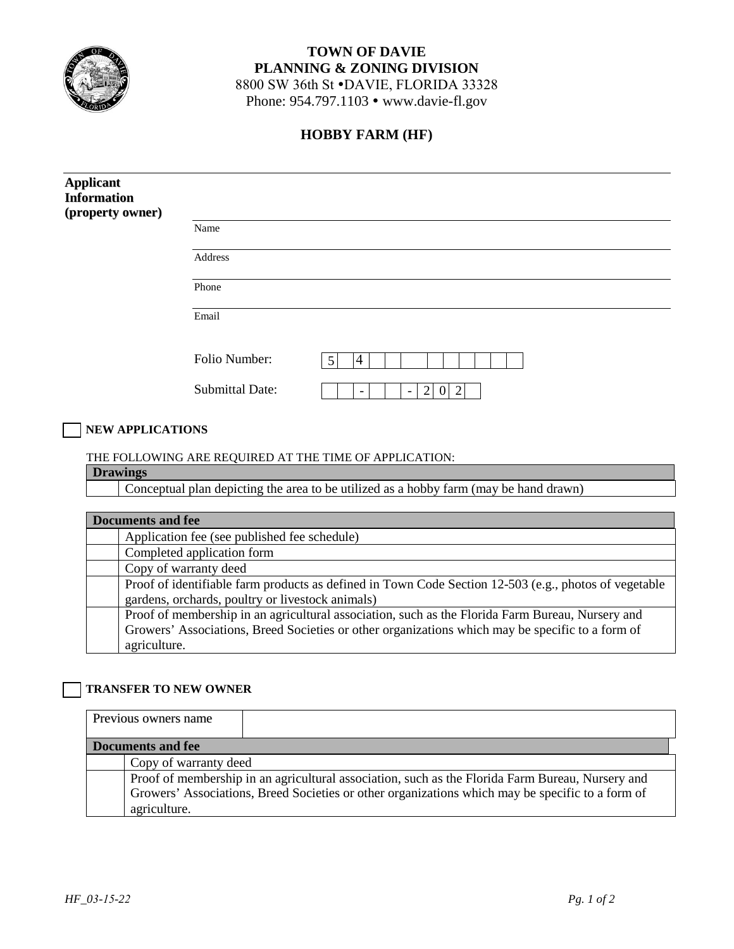

# **TOWN OF DAVIE PLANNING & ZONING DIVISION**  8800 SW 36th St .DAVIE, FLORIDA 33328

Phone: 954.797.1103 • www.davie-fl.gov

## **HOBBY FARM (HF)**

| <b>Applicant</b><br><b>Information</b><br>(property owner)                                                                                                                                                           |                                                                                                                     |
|----------------------------------------------------------------------------------------------------------------------------------------------------------------------------------------------------------------------|---------------------------------------------------------------------------------------------------------------------|
|                                                                                                                                                                                                                      | Name                                                                                                                |
|                                                                                                                                                                                                                      | Address                                                                                                             |
|                                                                                                                                                                                                                      | Phone                                                                                                               |
|                                                                                                                                                                                                                      | Email                                                                                                               |
|                                                                                                                                                                                                                      | Folio Number:<br>5<br>$\overline{4}$                                                                                |
|                                                                                                                                                                                                                      | <b>Submittal Date:</b><br>$\overline{2}$<br>$0\overline{2}$<br>$\overline{\phantom{a}}$<br>$\overline{\phantom{a}}$ |
| <b>NEW APPLICATIONS</b>                                                                                                                                                                                              |                                                                                                                     |
|                                                                                                                                                                                                                      | THE FOLLOWING ARE REQUIRED AT THE TIME OF APPLICATION:                                                              |
| <b>Drawings</b>                                                                                                                                                                                                      |                                                                                                                     |
|                                                                                                                                                                                                                      | Conceptual plan depicting the area to be utilized as a hobby farm (may be hand drawn)                               |
|                                                                                                                                                                                                                      |                                                                                                                     |
| <b>Documents and fee</b>                                                                                                                                                                                             |                                                                                                                     |
|                                                                                                                                                                                                                      | Application fee (see published fee schedule)                                                                        |
|                                                                                                                                                                                                                      | Completed application form                                                                                          |
| Copy of warranty deed                                                                                                                                                                                                |                                                                                                                     |
|                                                                                                                                                                                                                      | Proof of identifiable farm products as defined in Town Code Section 12-503 (e.g., photos of vegetable               |
|                                                                                                                                                                                                                      | gardens, orchards, poultry or livestock animals)                                                                    |
| Proof of membership in an agricultural association, such as the Florida Farm Bureau, Nursery and<br>Growers' Associations, Breed Societies or other organizations which may be specific to a form of<br>agriculture. |                                                                                                                     |
|                                                                                                                                                                                                                      |                                                                                                                     |
| <b>TRANSFER TO NEW OWNER</b>                                                                                                                                                                                         |                                                                                                                     |
| Previous owners name                                                                                                                                                                                                 |                                                                                                                     |
| <b>Documents and fee</b>                                                                                                                                                                                             |                                                                                                                     |
|                                                                                                                                                                                                                      | Copy of warranty deed                                                                                               |

Proof of membership in an agricultural association, such as the Florida Farm Bureau, Nursery and Growers' Associations, Breed Societies or other organizations which may be specific to a form of agriculture.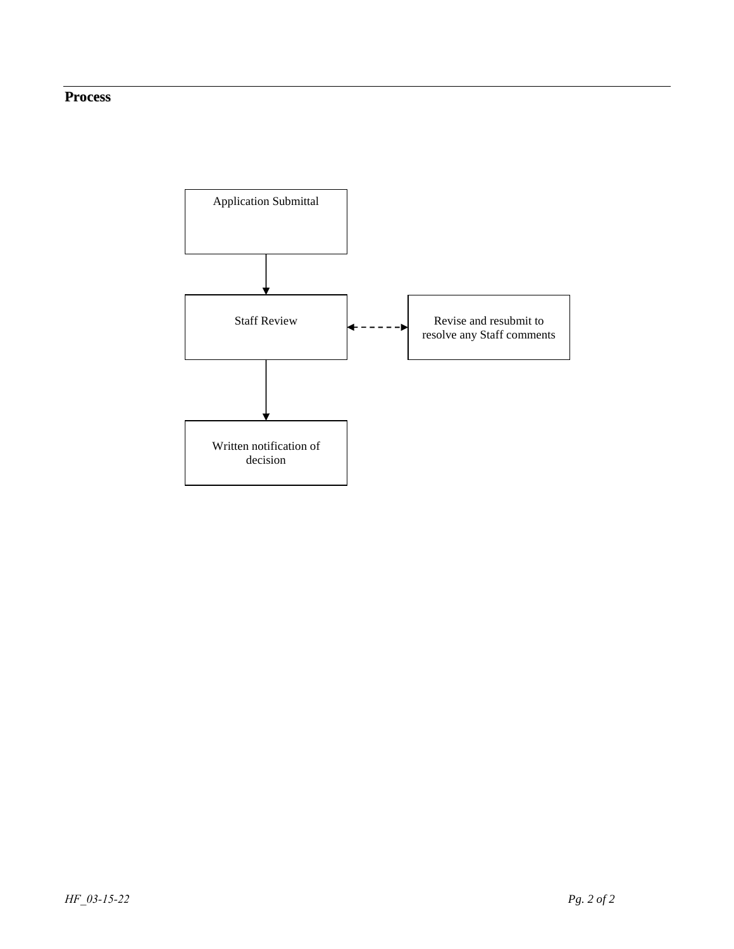## **Process**